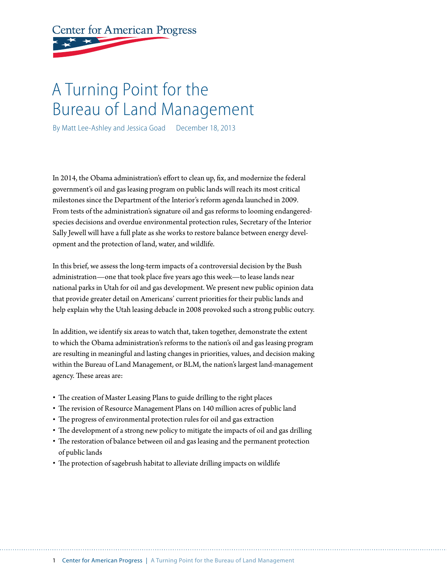**Center for American Progress** 

# A Turning Point for the Bureau of Land Management

By Matt Lee-Ashley and Jessica Goad December 18, 2013

In 2014, the Obama administration's effort to clean up, fix, and modernize the federal government's oil and gas leasing program on public lands will reach its most critical milestones since the Department of the Interior's reform agenda launched in 2009. From tests of the administration's signature oil and gas reforms to looming endangeredspecies decisions and overdue environmental protection rules, Secretary of the Interior Sally Jewell will have a full plate as she works to restore balance between energy development and the protection of land, water, and wildlife.

In this brief, we assess the long-term impacts of a controversial decision by the Bush administration—one that took place five years ago this week—to lease lands near national parks in Utah for oil and gas development. We present new public opinion data that provide greater detail on Americans' current priorities for their public lands and help explain why the Utah leasing debacle in 2008 provoked such a strong public outcry.

In addition, we identify six areas to watch that, taken together, demonstrate the extent to which the Obama administration's reforms to the nation's oil and gas leasing program are resulting in meaningful and lasting changes in priorities, values, and decision making within the Bureau of Land Management, or BLM, the nation's largest land-management agency. These areas are:

- The creation of Master Leasing Plans to guide drilling to the right places
- The revision of Resource Management Plans on 140 million acres of public land
- The progress of environmental protection rules for oil and gas extraction
- The development of a strong new policy to mitigate the impacts of oil and gas drilling
- The restoration of balance between oil and gas leasing and the permanent protection of public lands
- The protection of sagebrush habitat to alleviate drilling impacts on wildlife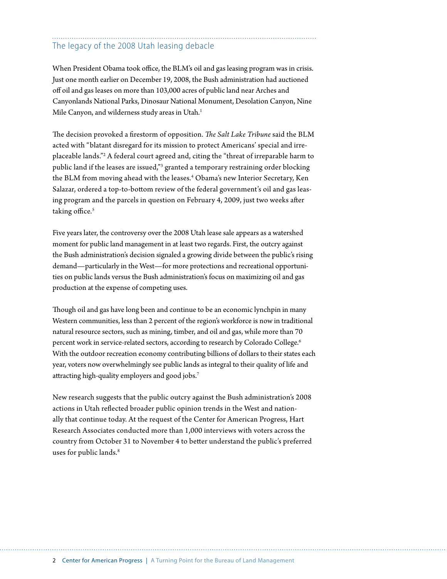### The legacy of the 2008 Utah leasing debacle

When President Obama took office, the BLM's oil and gas leasing program was in crisis. Just one month earlier on December 19, 2008, the Bush administration had auctioned off oil and gas leases on more than 103,000 acres of public land near Arches and Canyonlands National Parks, Dinosaur National Monument, Desolation Canyon, Nine Mile Canyon, and wilderness study areas in Utah.<sup>1</sup>

The decision provoked a firestorm of opposition. *The Salt Lake Tribune* said the BLM acted with "blatant disregard for its mission to protect Americans' special and irreplaceable lands."2 A federal court agreed and, citing the "threat of irreparable harm to public land if the leases are issued,"<sup>3</sup> granted a temporary restraining order blocking the BLM from moving ahead with the leases.<sup>4</sup> Obama's new Interior Secretary, Ken Salazar, ordered a top-to-bottom review of the federal government's oil and gas leasing program and the parcels in question on February 4, 2009, just two weeks after taking office.<sup>5</sup>

Five years later, the controversy over the 2008 Utah lease sale appears as a watershed moment for public land management in at least two regards. First, the outcry against the Bush administration's decision signaled a growing divide between the public's rising demand—particularly in the West—for more protections and recreational opportunities on public lands versus the Bush administration's focus on maximizing oil and gas production at the expense of competing uses.

Though oil and gas have long been and continue to be an economic lynchpin in many Western communities, less than 2 percent of the region's workforce is now in traditional natural resource sectors, such as mining, timber, and oil and gas, while more than 70 percent work in service-related sectors, according to research by Colorado College.<sup>6</sup> With the outdoor recreation economy contributing billions of dollars to their states each year, voters now overwhelmingly see public lands as integral to their quality of life and attracting high-quality employers and good jobs.7

New research suggests that the public outcry against the Bush administration's 2008 actions in Utah reflected broader public opinion trends in the West and nationally that continue today. At the request of the Center for American Progress, Hart Research Associates conducted more than 1,000 interviews with voters across the country from October 31 to November 4 to better understand the public's preferred uses for public lands.<sup>8</sup>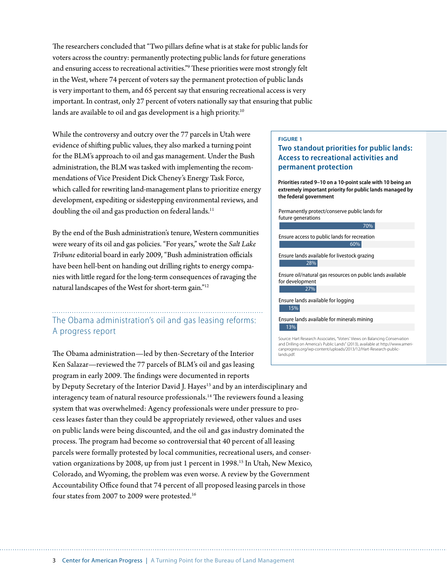The researchers concluded that "Two pillars define what is at stake for public lands for voters across the country: permanently protecting public lands for future generations and ensuring access to recreational activities."9 These priorities were most strongly felt in the West, where 74 percent of voters say the permanent protection of public lands is very important to them, and 65 percent say that ensuring recreational access is very important. In contrast, only 27 percent of voters nationally say that ensuring that public lands are available to oil and gas development is a high priority.<sup>10</sup>

While the controversy and outcry over the 77 parcels in Utah were evidence of shifting public values, they also marked a turning point for the BLM's approach to oil and gas management. Under the Bush administration, the BLM was tasked with implementing the recommendations of Vice President Dick Cheney's Energy Task Force, which called for rewriting land-management plans to prioritize energy development, expediting or sidestepping environmental reviews, and doubling the oil and gas production on federal lands.<sup>11</sup>

By the end of the Bush administration's tenure, Western communities were weary of its oil and gas policies. "For years," wrote the *Salt Lake Tribune* editorial board in early 2009, "Bush administration officials have been hell-bent on handing out drilling rights to energy companies with little regard for the long-term consequences of ravaging the natural landscapes of the West for short-term gain."12

### The Obama administration's oil and gas leasing reforms: A progress report

The Obama administration—led by then-Secretary of the Interior Ken Salazar—reviewed the 77 parcels of BLM's oil and gas leasing program in early 2009. The findings were documented in reports by Deputy Secretary of the Interior David J. Hayes<sup>13</sup> and by an interdisciplinary and interagency team of natural resource professionals.14 The reviewers found a leasing system that was overwhelmed: Agency professionals were under pressure to process leases faster than they could be appropriately reviewed, other values and uses on public lands were being discounted, and the oil and gas industry dominated the process. The program had become so controversial that 40 percent of all leasing parcels were formally protested by local communities, recreational users, and conservation organizations by 2008, up from just 1 percent in 1998.<sup>15</sup> In Utah, New Mexico, Colorado, and Wyoming, the problem was even worse. A review by the Government Accountability Office found that 74 percent of all proposed leasing parcels in those four states from 2007 to 2009 were protested.16 lands.pdf.

#### **FIGURE 1**

#### **Two standout priorities for public lands: Access to recreational activities and permanent protection**

**Priorities rated 9–10 on a 10-point scale with 10 being an extremely important priority for public lands managed by the federal government**

| Permanently protect/conserve public lands for |
|-----------------------------------------------|
| future generations                            |



Source: Hart Research Associates, "Voters' Views on Balancing Conservation and Drilling on America's Public Lands" (2013), available at http://www.americanprogress.org/wp-content/uploads/2013/12/Hart-Research-public-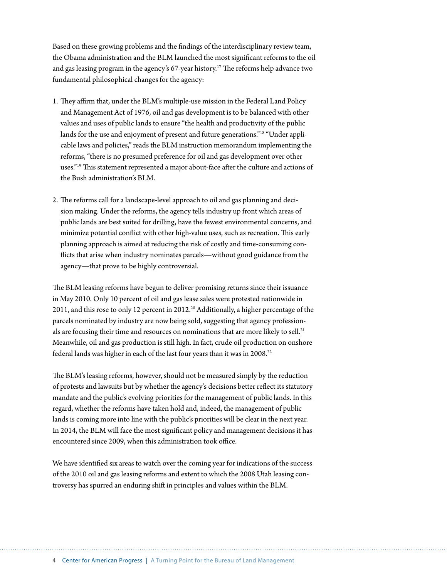Based on these growing problems and the findings of the interdisciplinary review team, the Obama administration and the BLM launched the most significant reforms to the oil and gas leasing program in the agency's  $67$ -year history.<sup>17</sup> The reforms help advance two fundamental philosophical changes for the agency:

- 1. They affirm that, under the BLM's multiple-use mission in the Federal Land Policy and Management Act of 1976, oil and gas development is to be balanced with other values and uses of public lands to ensure "the health and productivity of the public lands for the use and enjoyment of present and future generations."18 "Under applicable laws and policies," reads the BLM instruction memorandum implementing the reforms, "there is no presumed preference for oil and gas development over other uses."<sup>19</sup> This statement represented a major about-face after the culture and actions of the Bush administration's BLM.
- 2. The reforms call for a landscape-level approach to oil and gas planning and decision making. Under the reforms, the agency tells industry up front which areas of public lands are best suited for drilling, have the fewest environmental concerns, and minimize potential conflict with other high-value uses, such as recreation. This early planning approach is aimed at reducing the risk of costly and time-consuming conflicts that arise when industry nominates parcels—without good guidance from the agency—that prove to be highly controversial.

The BLM leasing reforms have begun to deliver promising returns since their issuance in May 2010. Only 10 percent of oil and gas lease sales were protested nationwide in 2011, and this rose to only 12 percent in 2012.<sup>20</sup> Additionally, a higher percentage of the parcels nominated by industry are now being sold, suggesting that agency professionals are focusing their time and resources on nominations that are more likely to sell.<sup>21</sup> Meanwhile, oil and gas production is still high. In fact, crude oil production on onshore federal lands was higher in each of the last four years than it was in 2008.<sup>22</sup>

The BLM's leasing reforms, however, should not be measured simply by the reduction of protests and lawsuits but by whether the agency's decisions better reflect its statutory mandate and the public's evolving priorities for the management of public lands. In this regard, whether the reforms have taken hold and, indeed, the management of public lands is coming more into line with the public's priorities will be clear in the next year. In 2014, the BLM will face the most significant policy and management decisions it has encountered since 2009, when this administration took office.

We have identified six areas to watch over the coming year for indications of the success of the 2010 oil and gas leasing reforms and extent to which the 2008 Utah leasing controversy has spurred an enduring shift in principles and values within the BLM.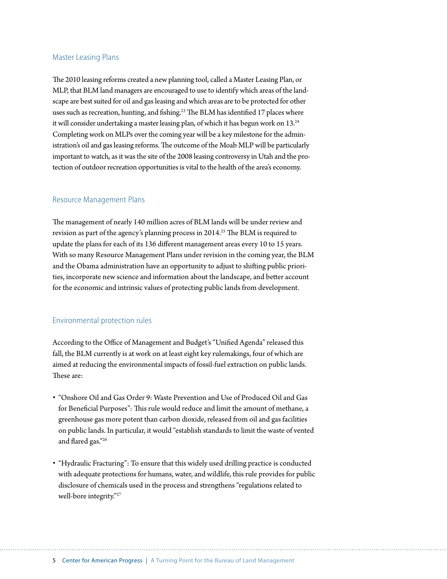#### Master Leasing Plans

The 2010 leasing reforms created a new planning tool, called a Master Leasing Plan, or MLP, that BLM land managers are encouraged to use to identify which areas of the landscape are best suited for oil and gas leasing and which areas are to be protected for other uses such as recreation, hunting, and fishing.<sup>23</sup> The BLM has identified 17 places where it will consider undertaking a master leasing plan, of which it has begun work on  $13.^{24}$ Completing work on MLPs over the coming year will be a key milestone for the administration's oil and gas leasing reforms. The outcome of the Moab MLP will be particularly important to watch, as it was the site of the 2008 leasing controversy in Utah and the protection of outdoor recreation opportunities is vital to the health of the area's economy.

#### Resource Management Plans

The management of nearly 140 million acres of BLM lands will be under review and revision as part of the agency's planning process in 2014.<sup>25</sup> The BLM is required to update the plans for each of its 136 different management areas every 10 to 15 years. With so many Resource Management Plans under revision in the coming year, the BLM and the Obama administration have an opportunity to adjust to shifting public priorities, incorporate new science and information about the landscape, and better account for the economic and intrinsic values of protecting public lands from development.

#### Environmental protection rules

According to the Office of Management and Budget's "Unified Agenda" released this fall, the BLM currently is at work on at least eight key rulemakings, four of which are aimed at reducing the environmental impacts of fossil-fuel extraction on public lands. These are:

- "Onshore Oil and Gas Order 9: Waste Prevention and Use of Produced Oil and Gas for Beneficial Purposes": This rule would reduce and limit the amount of methane, a greenhouse gas more potent than carbon dioxide, released from oil and gas facilities on public lands. In particular, it would "establish standards to limit the waste of vented and flared gas."26
- "Hydraulic Fracturing": To ensure that this widely used drilling practice is conducted with adequate protections for humans, water, and wildlife, this rule provides for public disclosure of chemicals used in the process and strengthens "regulations related to well-bore integrity."27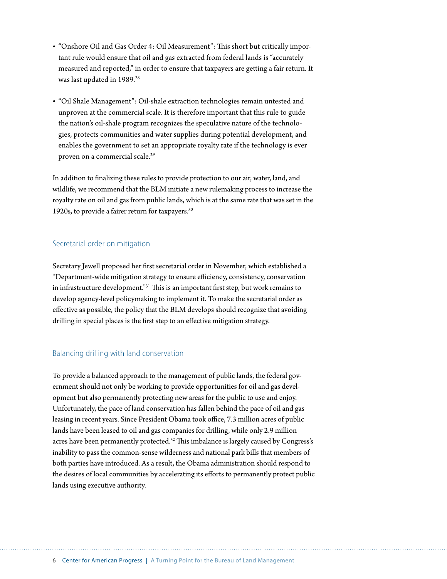- "Onshore Oil and Gas Order 4: Oil Measurement": This short but critically important rule would ensure that oil and gas extracted from federal lands is "accurately measured and reported," in order to ensure that taxpayers are getting a fair return. It was last updated in 1989.<sup>28</sup>
- "Oil Shale Management": Oil-shale extraction technologies remain untested and unproven at the commercial scale. It is therefore important that this rule to guide the nation's oil-shale program recognizes the speculative nature of the technologies, protects communities and water supplies during potential development, and enables the government to set an appropriate royalty rate if the technology is ever proven on a commercial scale.<sup>29</sup>

In addition to finalizing these rules to provide protection to our air, water, land, and wildlife, we recommend that the BLM initiate a new rulemaking process to increase the royalty rate on oil and gas from public lands, which is at the same rate that was set in the 1920s, to provide a fairer return for taxpayers.<sup>30</sup>

#### Secretarial order on mitigation

Secretary Jewell proposed her first secretarial order in November, which established a "Department-wide mitigation strategy to ensure efficiency, consistency, conservation in infrastructure development."31 This is an important first step, but work remains to develop agency-level policymaking to implement it. To make the secretarial order as effective as possible, the policy that the BLM develops should recognize that avoiding drilling in special places is the first step to an effective mitigation strategy.

#### Balancing drilling with land conservation

To provide a balanced approach to the management of public lands, the federal government should not only be working to provide opportunities for oil and gas development but also permanently protecting new areas for the public to use and enjoy. Unfortunately, the pace of land conservation has fallen behind the pace of oil and gas leasing in recent years. Since President Obama took office, 7.3 million acres of public lands have been leased to oil and gas companies for drilling, while only 2.9 million acres have been permanently protected.<sup>32</sup> This imbalance is largely caused by Congress's inability to pass the common-sense wilderness and national park bills that members of both parties have introduced. As a result, the Obama administration should respond to the desires of local communities by accelerating its efforts to permanently protect public lands using executive authority.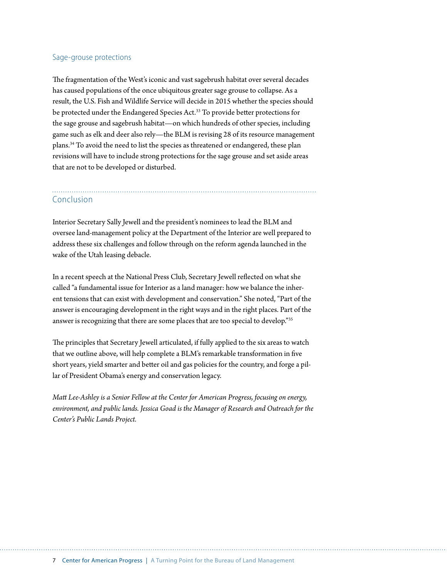#### Sage-grouse protections

The fragmentation of the West's iconic and vast sagebrush habitat over several decades has caused populations of the once ubiquitous greater sage grouse to collapse. As a result, the U.S. Fish and Wildlife Service will decide in 2015 whether the species should be protected under the Endangered Species Act.<sup>33</sup> To provide better protections for the sage grouse and sagebrush habitat—on which hundreds of other species, including game such as elk and deer also rely—the BLM is revising 28 of its resource management plans.34 To avoid the need to list the species as threatened or endangered, these plan revisions will have to include strong protections for the sage grouse and set aside areas that are not to be developed or disturbed.

## Conclusion

Interior Secretary Sally Jewell and the president's nominees to lead the BLM and oversee land-management policy at the Department of the Interior are well prepared to address these six challenges and follow through on the reform agenda launched in the wake of the Utah leasing debacle.

In a recent speech at the National Press Club, Secretary Jewell reflected on what she called "a fundamental issue for Interior as a land manager: how we balance the inherent tensions that can exist with development and conservation." She noted, "Part of the answer is encouraging development in the right ways and in the right places. Part of the answer is recognizing that there are some places that are too special to develop."35

The principles that Secretary Jewell articulated, if fully applied to the six areas to watch that we outline above, will help complete a BLM's remarkable transformation in five short years, yield smarter and better oil and gas policies for the country, and forge a pillar of President Obama's energy and conservation legacy.

*Matt Lee-Ashley is a Senior Fellow at the Center for American Progress, focusing on energy, environment, and public lands. Jessica Goad is the Manager of Research and Outreach for the Center's Public Lands Project.*